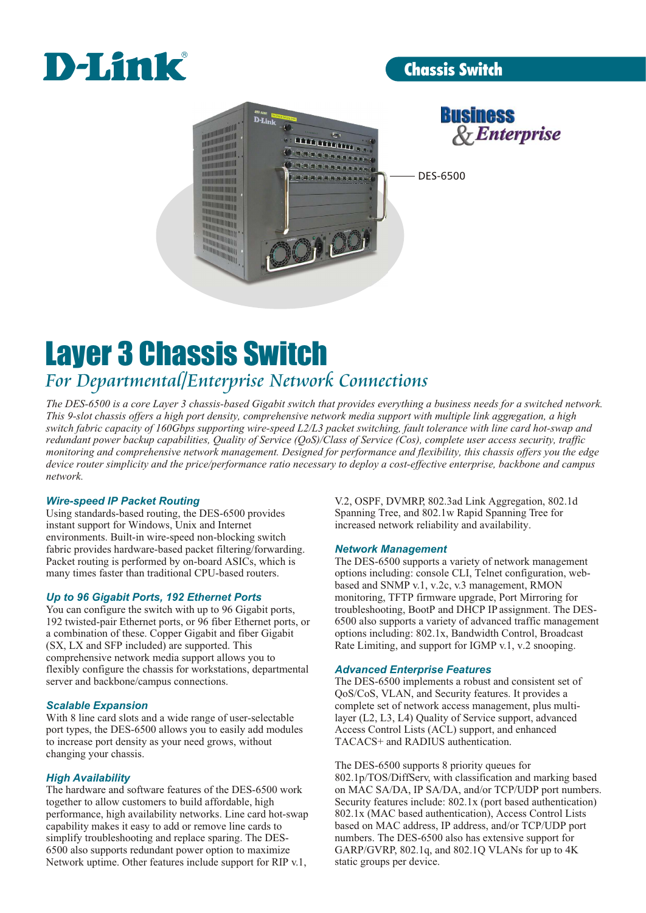

# Chassis Switch





DES-6500

# Layer 3 Chassis Switch *For Departmental/Enterprise Network Connections*

*The DES-6500 is a core Layer 3 chassis-based Gigabit switch that provides everything a business needs for a switched network. This 9-slot chassis offers a high port density, comprehensive network media support with multiple link aggregation, a high switch fabric capacity of 160Gbps supporting wire-speed L2/L3 packet switching, fault tolerance with line card hot-swap and redundant power backup capabilities, Quality of Service (QoS)/Class of Service (Cos), complete user access security, traffic monitoring and comprehensive network management. Designed for performance and flexibility, this chassis offers you the edge device router simplicity and the price/performance ratio necessary to deploy a cost-effective enterprise, backbone and campus network.*

# *Wire-speed IP Packet Routing*

Using standards-based routing, the DES-6500 provides Spanning Tree, and 802.1w Rapid Spanning Tree for instant support for Windows, Unix and Internet increased network reliability and availability. environments. Built-in wire-speed non-blocking switch fabric provides hardware-based packet filtering/forwarding. Packet routing is performed by on-board ASICs, which is The DES-6500 supports a variety of network management

*Up to 96 Gigabit Ports, 192 Ethernet Ports* You can configure the switch with up to 96 Gigabit ports, troubleshooting, BootP and DHCP IP assignment. The DES-<br>192 twisted-pair Ethernet ports, or 96 fiber Ethernet ports, or 6500 also supports a variety of advanced tra a combination of these. Copper Gigabit and fiber Gigabit (SX, LX and SFP included) are supported. This Rate Limiting, and support for IGMP v.1, v.2 snooping. comprehensive network media support allows you to flexibly configure the chassis for workstations, departmental server and backbone/campus connections.

# *Scalable Expansion*

With 8 line card slots and a wide range of user-selectable layer (L2, L3, L4) Quality of Service support, advanced port types, the DES-6500 allows you to easily add modules Access Control Lists (ACL) support, and enhanced to increase port density as your need grows, without TACACS+ and RADIUS authentication. changing your chassis.

# *High Availability*

performance, high availability networks. Line card hot-swap capability makes it easy to add or remove line cards to based on MAC address, IP address, and/or TCP/UDP port simplify troubleshooting and replace sparing. The DES-<br>numbers. The DES-6500 also has extensive support for simplify troubleshooting and replace sparing. The DES-6500 also supports redundant power option to maximize GARP/GVRP, 802.1q, and 802.1Q VLANs for up to 4K Network uptime. Other features include support for RIP v.1,

V.2, OSPF, DVMRP, 802.3ad Link Aggregation, 802.1d

# *Network Management*

many times faster than traditional CPU-based routers. options including: console CLI, Telnet configuration, webbased and SNMP v.1, v.2c, v.3 management, RMON monitoring, TFTP firmware upgrade, Port Mirroring for 6500 also supports a variety of advanced traffic management<br>options including: 802.1x, Bandwidth Control, Broadcast

# *Advanced Enterprise Features*

The DES-6500 implements a robust and consistent set of QoS/CoS, VLAN, and Security features. It provides a complete set of network access management, plus multi-

The DES-6500 supports 8 priority queues for 802.1p/TOS/DiffServ, with classification and marking based The hardware and software features of the DES-6500 work on MAC SA/DA, IP SA/DA, and/or TCP/UDP port numbers. together to allow customers to build affordable, high Security features include: 802.1x (port based authentication) performance, high availability networks. Line card hot-swap 802.1x (MAC based authentication), Access Cont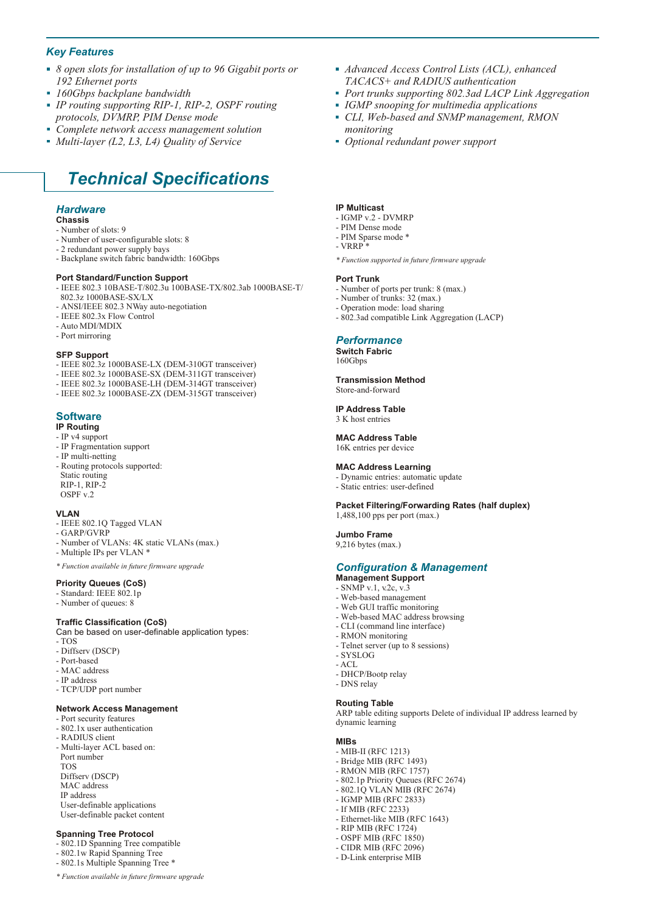# *Key Features*

- *8 open slots for installation of up to 96 Gigabit ports or 192 Ethernet ports*
- *160Gbps backplane bandwidth*
- *IP routing supporting RIP-1, RIP-2, OSPF routing*   $\mathbf{u}$ *protocols, DVMRP, PIM Dense mode*
- *Complete network access management solution*
- *Multi-layer (L2, L3, L4) Quality of Service*

# *Technical Specifications*

#### *Hardware*

#### **Chassis**

- Number of slots: 9
- Number of user-configurable slots: 8
- 2 redundant power supply bays - Backplane switch fabric bandwidth: 160Gbps
- 

### **Port Standard/Function Support**

- IEEE 802.3 10BASE-T/802.3u 100BASE-TX/802.3ab 1000BASE-T/ 802.3z 1000BASE-SX/LX
- ANSI/IEEE 802.3 NWay auto-negotiation
- IEEE 802.3x Flow Control
- Auto MDI/MDIX
- Port mirroring

#### **SFP Support**

- IEEE 802.3z 1000BASE-LX (DEM-310GT transceiver)
- IEEE 802.3z 1000BASE-SX (DEM-311GT transceiver)
- IEEE 802.3z 1000BASE-LH (DEM-314GT transceiver)
- IEEE 802.3z 1000BASE-ZX (DEM-315GT transceiver)

#### **Software IP Routing**

# - IP v4 support

- IP Fragmentation support
- IP multi-netting
- Routing protocols supported: Static routing  $RIP-1, RIP-2$
- OSPF v.2

#### **VLAN**

- IEEE 802.1Q Tagged VLAN
- GARP/GVRP
- Number of VLANs: 4K static VLANs (max.)
- Multiple IPs per VLAN \*
- *\* Function available in future firmware upgrade*

#### **Priority Queues (CoS)**

- Standard: IEEE 802.1p
- Number of queues: 8

#### **Traffic Classification (CoS)**

Can be based on user-definable application types: - TOS

- Diffserv (DSCP)
- Port-based
- MAC address
- IP address
- TCP/UDP port number

#### **Network Access Management**

- Port security features
- 802.1x user authentication
- RADIUS client
- Multi-layer ACL based on: Port number TOS Diffserv (DSCP) MAC address IP address User-definable applications User-definable packet content

#### **Spanning Tree Protocol**

- 802.1D Spanning Tree compatible
- 802.1w Rapid Spanning Tree
- 802.1s Multiple Spanning Tree \*

*\* Function available in future firmware upgrade*

- *Advanced Access Control Lists (ACL), enhanced TACACS+ and RADIUS authentication*
- *Port trunks supporting 802.3ad LACP Link Aggregation*
- *IGMP snooping for multimedia applications*
- *CLI, Web-based and SNMP management, RMON monitoring*
- *Optional redundant power support*

#### **IP Multicast**

- IGMP v.2 DVMRP
- PIM Dense mode
- PIM Sparse mode \*
- $\nabla R \overline{R}$
- *\* Function supported in future firmware upgrade*

#### **Port Trunk**

- Number of ports per trunk: 8 (max.)
- Number of trunks: 32 (max.)
- Operation mode: load sharing
- 802.3ad compatible Link Aggregation (LACP)

#### *Performance*

**Switch Fabric** 160Gbps

**Transmission Method** Store-and-forward

# **IP Address Table**

3 K host entries

**MAC Address Table** 16K entries per device

# **MAC Address Learning**

- Dynamic entries: automatic update
- Static entries: user-defined

**Packet Filtering/Forwarding Rates (half duplex)**

1,488,100 pps per port (max.)

#### **Jumbo Frame**

9,216 bytes (max.)

### *Configuration & Management*

- **Management Support**
- SNMP v.1, v.2c, v.3
- Web-based management
- Web GUI traffic monitoring
- Web-based MAC address browsing
- CLI (command line interface)
- RMON monitoring
- Telnet server (up to 8 sessions) - SYSLOG
- ACL
- 

**MIBs**

- DHCP/Bootp relay
- DNS relay

#### **Routing Table**

- MIB-II (RFC 1213) - Bridge MIB (RFC 1493) - RMON MIB (RFC 1757) - 802.1p Priority Queues (RFC 2674) - 802.1Q VLAN MIB (RFC 2674) - IGMP MIB (RFC 2833) - If MIB (RFC 2233)

- Ethernet-like MIB (RFC 1643) - RIP MIB (RFC 1724) - OSPF MIB (RFC 1850) - CIDR MIB (RFC 2096) - D-Link enterprise MIB

ARP table editing supports Delete of individual IP address learned by dynamic learning